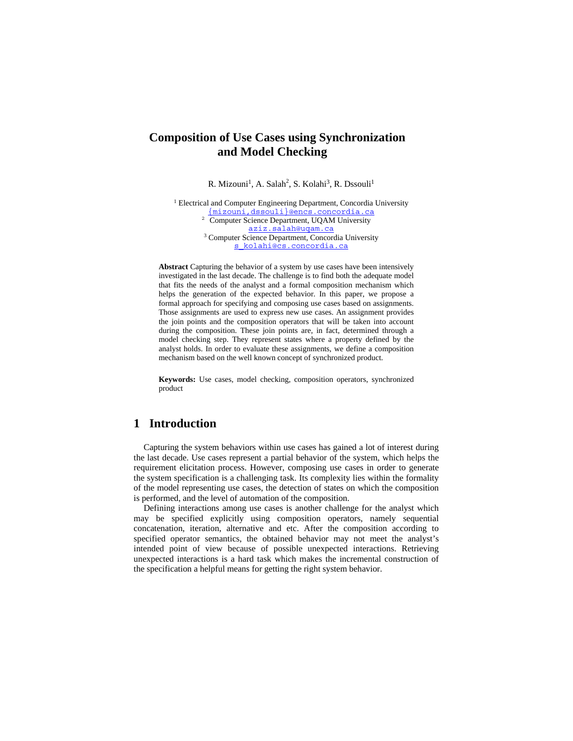# **Composition of Use Cases using Synchronization and Model Checking**

R. Mizouni<sup>1</sup>, A. Salah<sup>2</sup>, S. Kolahi<sup>3</sup>, R. Dssouli<sup>1</sup>

1 Electrical and Computer Engineering Department, Concordia University {mizouni,dssouli}@encs.concordia.ca <sup>2</sup> Computer Science Department, UQAM University aziz.salah@uqam.ca <sup>3</sup> Computer Science Department, Concordia University s\_kolahi@cs.concordia.ca

Abstract Capturing the behavior of a system by use cases have been intensively investigated in the last decade. The challenge is to find both the adequate model that fits the needs of the analyst and a formal composition mechanism which helps the generation of the expected behavior. In this paper, we propose a formal approach for specifying and composing use cases based on assignments. Those assignments are used to express new use cases. An assignment provides the join points and the composition operators that will be taken into account during the composition. These join points are, in fact, determined through a model checking step. They represent states where a property defined by the analyst holds. In order to evaluate these assignments, we define a composition mechanism based on the well known concept of synchronized product.

**Keywords:** Use cases, model checking, composition operators, synchronized product

## **1 Introduction**

Capturing the system behaviors within use cases has gained a lot of interest during the last decade. Use cases represent a partial behavior of the system, which helps the requirement elicitation process. However, composing use cases in order to generate the system specification is a challenging task. Its complexity lies within the formality of the model representing use cases, the detection of states on which the composition is performed, and the level of automation of the composition.

Defining interactions among use cases is another challenge for the analyst which may be specified explicitly using composition operators, namely sequential concatenation, iteration, alternative and etc. After the composition according to specified operator semantics, the obtained behavior may not meet the analyst's intended point of view because of possible unexpected interactions. Retrieving unexpected interactions is a hard task which makes the incremental construction of the specification a helpful means for getting the right system behavior.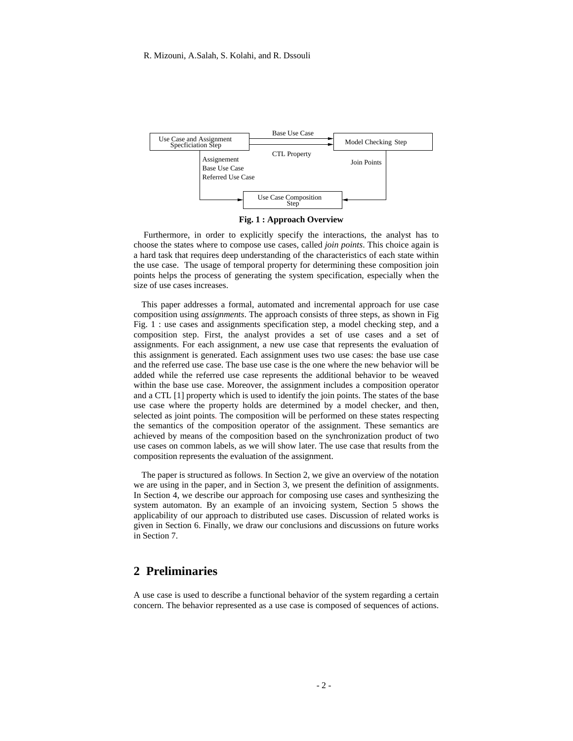

**Fig. 1 : Approach Overview** 

Furthermore, in order to explicitly specify the interactions, the analyst has to choose the states where to compose use cases, called *join points*. This choice again is a hard task that requires deep understanding of the characteristics of each state within the use case. The usage of temporal property for determining these composition join points helps the process of generating the system specification, especially when the size of use cases increases.

This paper addresses a formal, automated and incremental approach for use case composition using *assignments*. The approach consists of three steps, as shown in Fig Fig. 1 : use cases and assignments specification step, a model checking step, and a composition step. First, the analyst provides a set of use cases and a set of assignments. For each assignment, a new use case that represents the evaluation of this assignment is generated. Each assignment uses two use cases: the base use case and the referred use case. The base use case is the one where the new behavior will be added while the referred use case represents the additional behavior to be weaved within the base use case. Moreover, the assignment includes a composition operator and a CTL [1] property which is used to identify the join points. The states of the base use case where the property holds are determined by a model checker, and then, selected as joint points. The composition will be performed on these states respecting the semantics of the composition operator of the assignment. These semantics are achieved by means of the composition based on the synchronization product of two use cases on common labels, as we will show later. The use case that results from the composition represents the evaluation of the assignment.

The paper is structured as follows. In Section 2, we give an overview of the notation we are using in the paper, and in Section 3, we present the definition of assignments. In Section 4, we describe our approach for composing use cases and synthesizing the system automaton. By an example of an invoicing system, Section 5 shows the applicability of our approach to distributed use cases. Discussion of related works is given in Section 6. Finally, we draw our conclusions and discussions on future works in Section 7.

# **2 Preliminaries**

A use case is used to describe a functional behavior of the system regarding a certain concern. The behavior represented as a use case is composed of sequences of actions.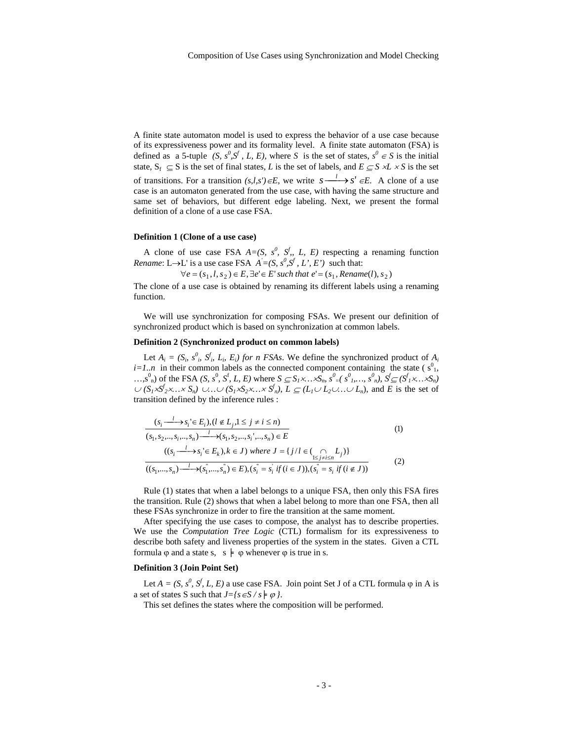A finite state automaton model is used to express the behavior of a use case because of its expressiveness power and its formality level. A finite state automaton (FSA) is defined as a 5-tuple *(S, s<sup>0</sup>,S<sup>f</sup>, L, E)*, where *S* is the set of states,  $s^0 \in S$  is the initial state,  $S_f \subseteq S$  is the set of final states, *L* is the set of labels, and  $E \subseteq S \times L \times S$  is the set of transitions. For a transition  $(s,l,s') \in E$ , we write  $s \xrightarrow{l} s' \in E$ . A clone of a use case is an automaton generated from the use case, with having the same structure and same set of behaviors, but different edge labeling. Next, we present the formal definition of a clone of a use case FSA.

## **Definition 1 (Clone of a use case)**

A clone of use case FSA  $A=(S, s^0, S^f, L, E)$  respecting a renaming function *Rename*: L→L' is a use case FSA  $A = (S, s^0, S^f, L^r, E^r)$  such that:

 $\forall e = (s_1, l, s_2) \in E, \exists e' \in E' \text{ such that } e' = (s_1, \text{Rename}(l), s_2)$ 

The clone of a use case is obtained by renaming its different labels using a renaming function.

We will use synchronization for composing FSAs. We present our definition of synchronized product which is based on synchronization at common labels.

## **Definition 2 (Synchronized product on common labels)**

Let  $A_i = (S_i, s_i^0, S_i, L_i, E_i)$  for n FSAs. We define the synchronized product of  $A_i$  $i=1..n$  in their common labels as the connected component containing the state ( $s^0_{1}$ ,  $...,$ s<sup>0</sup><sub>n</sub>) of the FSA (S, s<sup>0</sup>, S<sup>f</sup>, L, E) where  $S \subseteq S_1 \times ... \times S_n$ , s<sup>0</sup><sub>=</sub>(s<sup>0</sup><sub>1</sub>,..., s<sup>0</sup><sub>n</sub>),  $S \subseteq (S^1 \times ... \times S_n)$  $∪$  (S<sub>I</sub>× $\mathcal{S}_2^f$ ×*…*× S<sub>n</sub>) ∪*…*∪ (S<sub>I</sub>×S<sub>2</sub>×*…*× S<sup>*f*</sup><sub>n</sub>),  $L \subseteq (L_1 \cup L_2 \cup ... \cup L_n)$ , and *E* is the set of transition defined by the inference rules :

$$
\frac{(s_i \t{k}_{i+1} + s_i) \in E_i, (l \notin L_j, 1 \leq j \neq i \leq n)}{(s_1, s_2, \ldots, s_i, \ldots, s_n) \t{k}_{i+1} + (s_1, s_2, \ldots, s_i', \ldots, s_n) \in E}
$$
\n
$$
((s_i \t{k}_{i+1} + s_i) \in E_k), k \in J) \text{ where } J = \{j/l \in (\bigcap_{1 \leq j \neq i \leq n} L_j)\}
$$
\n
$$
\frac{((s_1, \ldots, s_n) \t{k}_{i+1} - (s_i, \ldots, s_n') \in E), (s_i = s_i \text{ if } (i \in J)), (s_i = s_i \text{ if } (i \notin J))}{(2)}
$$

Rule (1) states that when a label belongs to a unique FSA, then only this FSA fires the transition. Rule (2) shows that when a label belong to more than one FSA, then all these FSAs synchronize in order to fire the transition at the same moment.

After specifying the use cases to compose, the analyst has to describe properties. We use the *Computation Tree Logic* (CTL) formalism for its expressiveness to describe both safety and liveness properties of the system in the states. Given a CTL formula  $\varphi$  and a state s, s  $\models \varphi$  whenever  $\varphi$  is true in s.

### **Definition 3 (Join Point Set)**

Let  $A = (S, s^0, S^f, L, E)$  a use case FSA. Join point Set J of a CTL formula  $\varphi$  in A is a set of states S such that  $J=f s \in S / s \models \varphi$  }.

This set defines the states where the composition will be performed.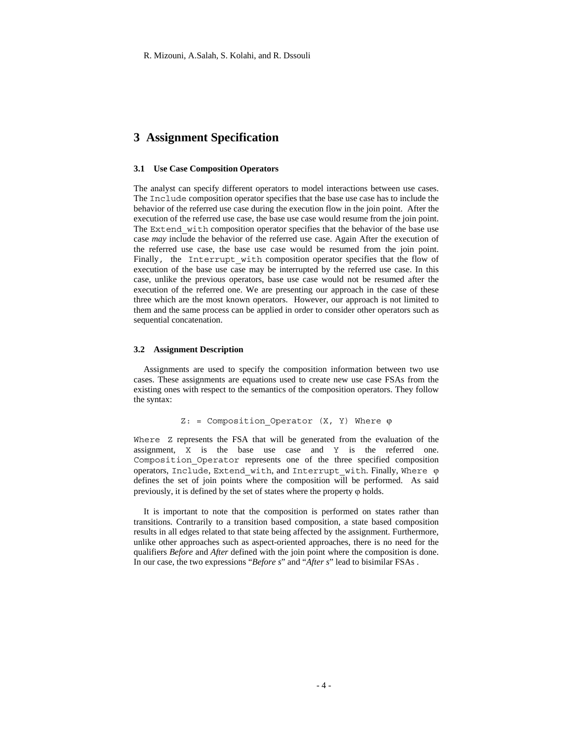## **3 Assignment Specification**

## **3.1 Use Case Composition Operators**

The analyst can specify different operators to model interactions between use cases. The Include composition operator specifies that the base use case has to include the behavior of the referred use case during the execution flow in the join point. After the execution of the referred use case, the base use case would resume from the join point. The Extend with composition operator specifies that the behavior of the base use case *may* include the behavior of the referred use case. Again After the execution of the referred use case, the base use case would be resumed from the join point. Finally, the Interrupt with composition operator specifies that the flow of execution of the base use case may be interrupted by the referred use case. In this case, unlike the previous operators, base use case would not be resumed after the execution of the referred one. We are presenting our approach in the case of these three which are the most known operators. However, our approach is not limited to them and the same process can be applied in order to consider other operators such as sequential concatenation.

## **3.2 Assignment Description**

Assignments are used to specify the composition information between two use cases. These assignments are equations used to create new use case FSAs from the existing ones with respect to the semantics of the composition operators. They follow the syntax:

```
Z: = Composition_Operator (X, Y) Where ϕ
```
Where Z represents the FSA that will be generated from the evaluation of the assignment, X is the base use case and Y is the referred one. Composition\_Operator represents one of the three specified composition operators, Include, Extend\_with, and Interrupt\_with. Finally, Where ϕ defines the set of join points where the composition will be performed. As said previously, it is defined by the set of states where the property ϕ holds.

It is important to note that the composition is performed on states rather than transitions. Contrarily to a transition based composition, a state based composition results in all edges related to that state being affected by the assignment. Furthermore, unlike other approaches such as aspect-oriented approaches, there is no need for the qualifiers *Before* and *After* defined with the join point where the composition is done. In our case, the two expressions "*Before s*" and "*After s*" lead to bisimilar FSAs .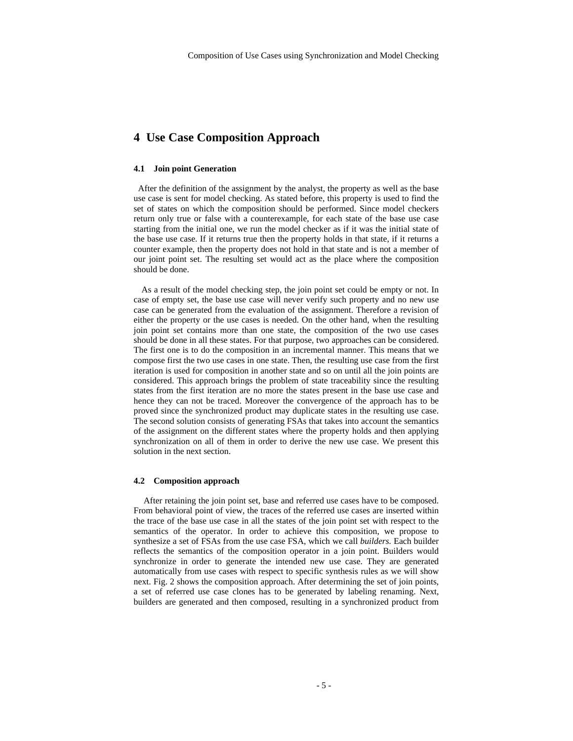# **4 Use Case Composition Approach**

## **4.1 Join point Generation**

 After the definition of the assignment by the analyst, the property as well as the base use case is sent for model checking. As stated before, this property is used to find the set of states on which the composition should be performed. Since model checkers return only true or false with a counterexample, for each state of the base use case starting from the initial one, we run the model checker as if it was the initial state of the base use case. If it returns true then the property holds in that state, if it returns a counter example, then the property does not hold in that state and is not a member of our joint point set. The resulting set would act as the place where the composition should be done.

As a result of the model checking step, the join point set could be empty or not. In case of empty set, the base use case will never verify such property and no new use case can be generated from the evaluation of the assignment. Therefore a revision of either the property or the use cases is needed. On the other hand, when the resulting join point set contains more than one state, the composition of the two use cases should be done in all these states. For that purpose, two approaches can be considered. The first one is to do the composition in an incremental manner. This means that we compose first the two use cases in one state. Then, the resulting use case from the first iteration is used for composition in another state and so on until all the join points are considered. This approach brings the problem of state traceability since the resulting states from the first iteration are no more the states present in the base use case and hence they can not be traced. Moreover the convergence of the approach has to be proved since the synchronized product may duplicate states in the resulting use case. The second solution consists of generating FSAs that takes into account the semantics of the assignment on the different states where the property holds and then applying synchronization on all of them in order to derive the new use case. We present this solution in the next section.

#### **4.2 Composition approach**

After retaining the join point set, base and referred use cases have to be composed. From behavioral point of view, the traces of the referred use cases are inserted within the trace of the base use case in all the states of the join point set with respect to the semantics of the operator. In order to achieve this composition, we propose to synthesize a set of FSAs from the use case FSA, which we call *builders.* Each builder reflects the semantics of the composition operator in a join point. Builders would synchronize in order to generate the intended new use case. They are generated automatically from use cases with respect to specific synthesis rules as we will show next. Fig. 2 shows the composition approach. After determining the set of join points, a set of referred use case clones has to be generated by labeling renaming. Next, builders are generated and then composed, resulting in a synchronized product from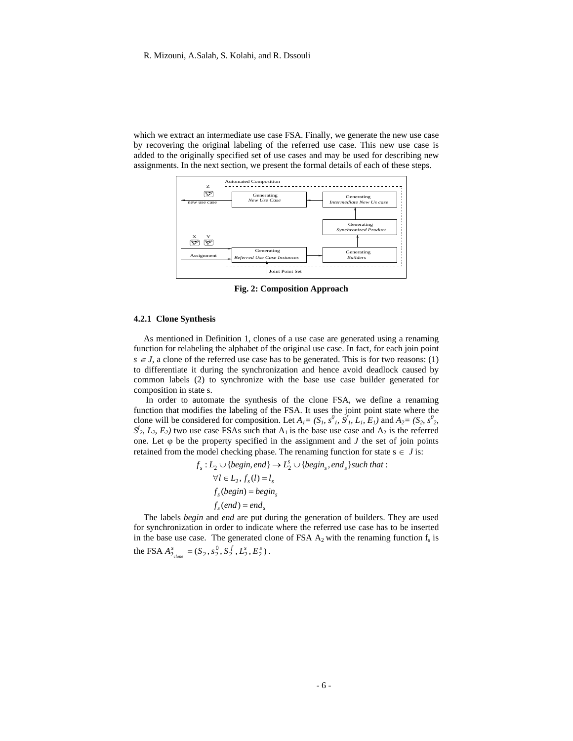which we extract an intermediate use case FSA. Finally, we generate the new use case by recovering the original labeling of the referred use case. This new use case is added to the originally specified set of use cases and may be used for describing new assignments. In the next section, we present the formal details of each of these steps.



**Fig. 2: Composition Approach** 

## **4.2.1 Clone Synthesis**

As mentioned in Definition 1, clones of a use case are generated using a renaming function for relabeling the alphabet of the original use case. In fact, for each join point  $s \in J$ , a clone of the referred use case has to be generated. This is for two reasons: (1) to differentiate it during the synchronization and hence avoid deadlock caused by common labels (2) to synchronize with the base use case builder generated for composition in state s.

 In order to automate the synthesis of the clone FSA, we define a renaming function that modifies the labeling of the FSA. It uses the joint point state where the clone will be considered for composition. Let  $A<sub>1</sub> = (S<sub>1</sub>, s<sup>0</sup><sub>1</sub>, \overline{S}<sup>1</sup><sub>1</sub>, L<sub>1</sub>, E<sub>1</sub>)$  and  $A<sub>2</sub> = (S<sub>2</sub>, s<sup>0</sup><sub>2</sub>,$  $S_2$ ,  $L_2$ ,  $E_2$ ) two use case FSAs such that  $A_1$  is the base use case and  $A_2$  is the referred one. Let  $\varphi$  be the property specified in the assignment and  $J$  the set of join points retained from the model checking phase. The renaming function for state  $s \in J$  is:

$$
f_s: L_2 \cup \{begin, end\} \rightarrow L_2^s \cup \{begin, end_s\} \text{such that}: \\ \forall l \in L_2, f_s(l) = l_s \end{cases}
$$
  

$$
f_s(begin) = begin_s
$$
  

$$
f_send) = end_s
$$
  
sin and and are put during the generation of buildings T

The labels *begin* and *end* are put during the generation of builders. They are used for synchronization in order to indicate where the referred use case has to be inserted in the base use case. The generated clone of FSA  $A_2$  with the renaming function  $f_s$  is

the FSA  $A_{2_{clone}}^s = (S_2, s_2^0, S_2^f, L_2^s, E_2^s)$ .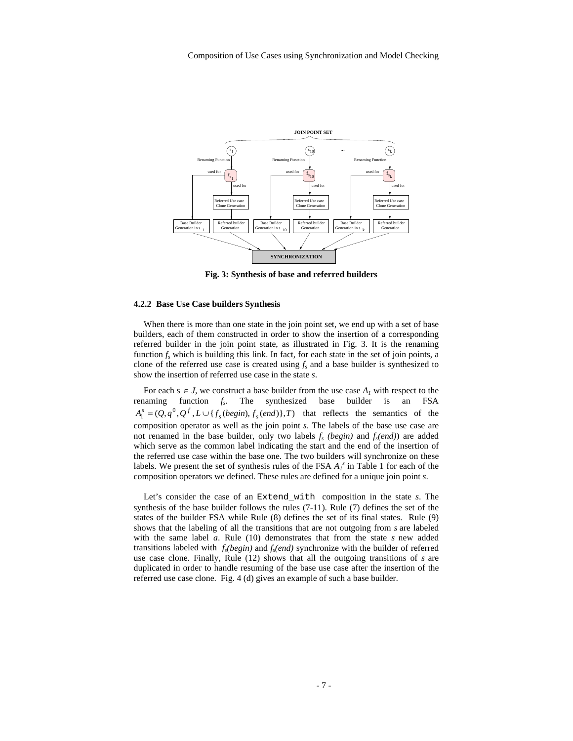

**Fig. 3: Synthesis of base and referred builders** 

## **4.2.2 Base Use Case builders Synthesis**

When there is more than one state in the join point set, we end up with a set of base builders, each of them constructed in order to show the insertion of a corresponding referred builder in the join point state, as illustrated in Fig. 3. It is the renaming function  $f_s$  which is building this link. In fact, for each state in the set of join points, a clone of the referred use case is created using  $f_s$  and a base builder is synthesized to show the insertion of referred use case in the state *s*.

For each  $s \in J$ , we construct a base builder from the use case  $A_i$  with respect to the renaming function *fs*. The synthesized base builder is an FSA  $A_1^s = (Q, q^0, Q^f, L \cup \{f, (begin), f, (end)\}, T)$  that reflects the semantics of the composition operator as well as the join point *s*. The labels of the base use case are not renamed in the base builder, only two labels  $f_s$  (*begin*) and  $f_s$ (*end*)) are added which serve as the common label indicating the start and the end of the insertion of the referred use case within the base one. The two builders will synchronize on these labels. We present the set of synthesis rules of the FSA  $A_I^s$  in Table 1 for each of the composition operators we defined. These rules are defined for a unique join point *s*.

Let's consider the case of an Extend\_with composition in the state *s*. The synthesis of the base builder follows the rules (7-11). Rule (7) defines the set of the states of the builder FSA while Rule (8) defines the set of its final states. Rule (9) shows that the labeling of all the transitions that are not outgoing from *s* are labeled with the same label *a*. Rule (10) demonstrates that from the state *s* new added transitions labeled with  $f<sub>s</sub>(begin)$  and  $f<sub>s</sub>(end)$  synchronize with the builder of referred use case clone. Finally, Rule (12) shows that all the outgoing transitions of *s* are duplicated in order to handle resuming of the base use case after the insertion of the referred use case clone. Fig. 4 (d) gives an example of such a base builder.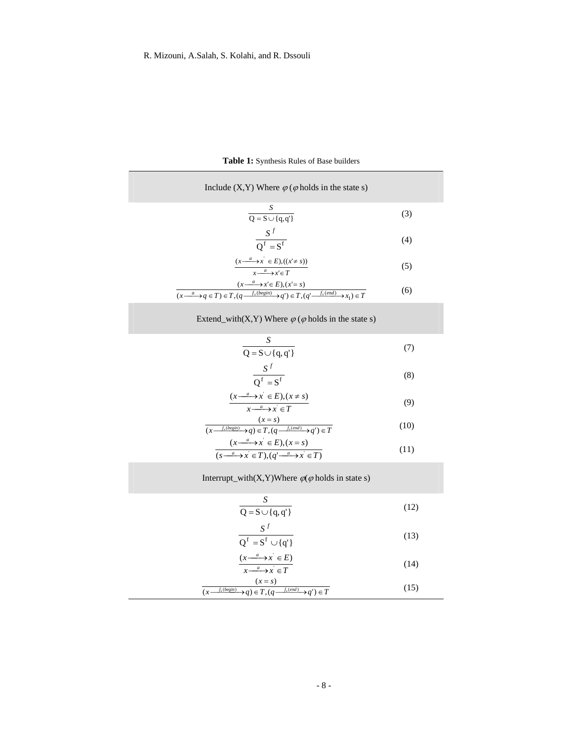| Include (X,Y) Where $\varphi$ ( $\varphi$ holds in the state s)                                                                                                 |      |
|-----------------------------------------------------------------------------------------------------------------------------------------------------------------|------|
| $\frac{S}{Q = S \cup \{a, a'\}}$                                                                                                                                | (3)  |
| $\frac{S^f}{Q^f = S^f}$                                                                                                                                         | (4)  |
| $\frac{(x \xrightarrow{a} x \in E), ((x \neq s))}{x \xrightarrow{a} x \in T}$                                                                                   | (5)  |
| $\cfrac{(x \xrightarrow{a} x' \in E), (x'=s)}{(x \xrightarrow{a} q \in T) \in T, (q \xrightarrow{f_s(begin)} q') \in T, (q' \xrightarrow{f_s(end)} x_1) \in T}$ | (6)  |
| Extend_with(X,Y) Where $\varphi$ ( $\varphi$ holds in the state s)                                                                                              |      |
| $\frac{S}{Q = S \cup \{q, q'\}}$                                                                                                                                | (7)  |
| $\frac{S^f}{\Omega^f = S^f}$                                                                                                                                    | (8)  |
| $\frac{(x \xrightarrow{a} x \in E), (x \neq s)}{x \xrightarrow{a} x \in T}$                                                                                     | (9)  |
| $(x = s)$<br>$\overbrace{(x - \frac{f_s(begin)}{s}) q \in T, (q - \frac{f_s(end)}{s}) q') \in T}$                                                               | (10) |
| $(x \xrightarrow{a} x \in E), (x = s)$<br>$(s \xrightarrow{a} x \in T), (q' \xrightarrow{a} x \in T)$                                                           | (11) |
| Interrupt_with(X,Y)Where $\phi(\phi)$ holds in state s)                                                                                                         |      |
| $\frac{S}{Q = S \cup \{q, q'\}}$                                                                                                                                | (12) |
| $\frac{S^f}{Q^f = S^f \cup \{q'\}}$                                                                                                                             | (13) |
| $\frac{(x \xrightarrow{a} x \in E)}{x \xrightarrow{a} x \in T}$                                                                                                 | (14) |
| $\overbrace{(x - f_s(begin))}^{(x = s)} (q) \in T, (q \xrightarrow{f_s(end)} q') \in T$                                                                         | (15) |

**Table 1:** Synthesis Rules of Base builders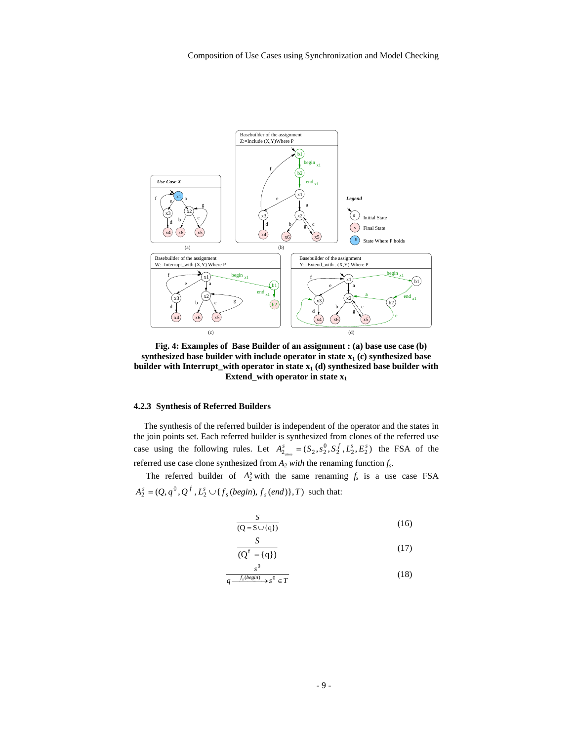

**Fig. 4: Examples of Base Builder of an assignment : (a) base use case (b)**  synthesized base builder with include operator in state  $x_1$  (c) synthesized base builder with Interrupt\_with operator in state  $x_1$  (d) synthesized base builder with Extend\_with operator in state  $x_1$ 

## **4.2.3 Synthesis of Referred Builders**

The synthesis of the referred builder is independent of the operator and the states in the join points set. Each referred builder is synthesized from clones of the referred use case using the following rules. Let  $A_{2_{\text{done}}}^s = (S_2, s_2^0, S_2^f, L_2^s, E_2^s)$  the FSA of the referred use case clone synthesized from  $A_2$  with the renaming function  $f_s$ .

The referred builder of  $A_2^s$  with the same renaming  $f_s$  is a use case FSA  $A_2^s = (Q, q^0, Q^f, L_2^s \cup \{f_s(begin), f_s(end)\}, T)$  such that:

$$
\frac{S}{(Q = S \cup \{q\})}
$$
 (16)

$$
\frac{3}{(Q^f = \{q\})}
$$
 (17)

$$
\frac{s^0}{q - \frac{f_s(begin)}{s^0 \in T}} \tag{18}
$$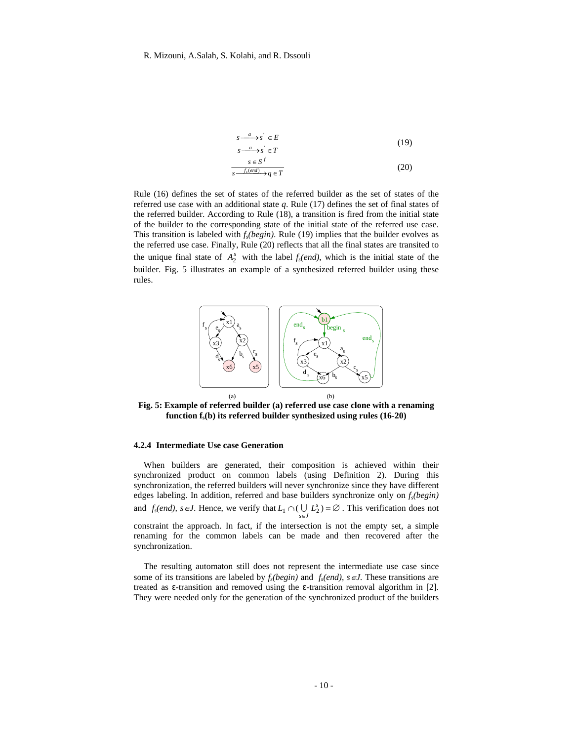$$
\frac{s \xrightarrow{a} s}{s \xrightarrow{a} s} \in E
$$
\n
$$
(19)
$$

$$
\frac{s \in S^f}{s - \frac{f_s(end)}{f} \to q \in T}
$$
 (20)

Rule (16) defines the set of states of the referred builder as the set of states of the referred use case with an additional state *q*. Rule (17) defines the set of final states of the referred builder. According to Rule (18), a transition is fired from the initial state of the builder to the corresponding state of the initial state of the referred use case. This transition is labeled with  $f<sub>s</sub>(begin)$ . Rule (19) implies that the builder evolves as the referred use case. Finally, Rule (20) reflects that all the final states are transited to the unique final state of  $A_2^s$  with the label  $f_s(end)$ , which is the initial state of the builder. Fig. 5 illustrates an example of a synthesized referred builder using these rules.



**Fig. 5: Example of referred builder (a) referred use case clone with a renaming**  function f<sub>s</sub>(b) its referred builder synthesized using rules (16-20)

## **4.2.4 Intermediate Use case Generation**

When builders are generated, their composition is achieved within their synchronized product on common labels (using Definition 2). During this synchronization, the referred builders will never synchronize since they have different edges labeling. In addition, referred and base builders synchronize only on *fs(begin)* and *f<sub>s</sub>(end), s* ∈*J*. Hence, we verify that  $L_1 \cap (\bigcup_{s \in J} L_2^s) = \emptyset$  $L_1 \cap (\bigcup_{s \in J} L_2^s) = \emptyset$ . This verification does not constraint the approach. In fact, if the intersection is not the empty set, a simple renaming for the common labels can be made and then recovered after the synchronization.

The resulting automaton still does not represent the intermediate use case since some of its transitions are labeled by  $f_s(begin)$  and  $f_s(end)$ ,  $s \in J$ . These transitions are treated as  $\epsilon$ -transition and removed using the  $\epsilon$ -transition removal algorithm in [2]. They were needed only for the generation of the synchronized product of the builders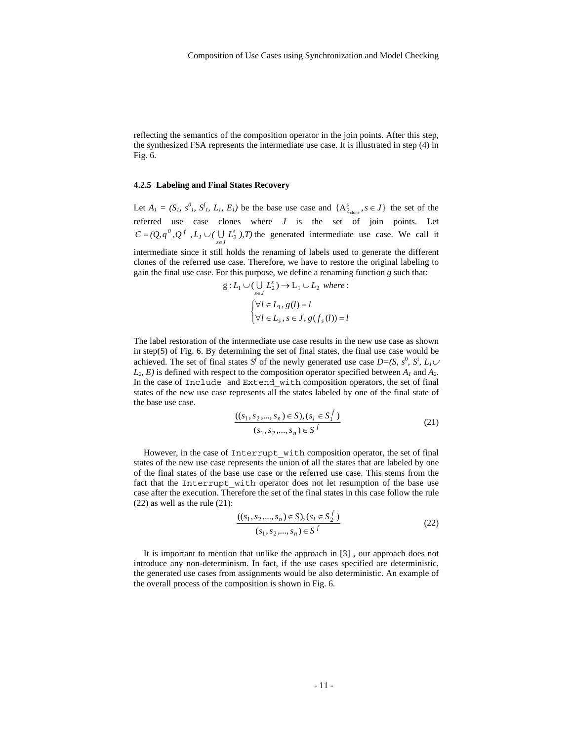reflecting the semantics of the composition operator in the join points. After this step, the synthesized FSA represents the intermediate use case. It is illustrated in step (4) in Fig. 6.

### **4.2.5 Labeling and Final States Recovery**

Let  $A_1 = (S_1, s^0, S'_1, L_1, E_1)$  be the base use case and  $\{A_{2_{\text{clone}}}^s, s \in J\}$  the set of the referred use case clones where  $J$  is the set of join points. Let  $C = (Q, q^0, Q^f, L_I \cup (\bigcup_{s \in J} L_2^s), T)$  $=(Q, q^0, Q^1, L_1 \cup (\bigcup_{s \in J} L_2^s), T)$  the generated intermediate use case. We call it

intermediate since it still holds the renaming of labels used to generate the different clones of the referred use case. Therefore, we have to restore the original labeling to gain the final use case. For this purpose, we define a renaming function *g* such that:

$$
g: L_1 \cup (\bigcup_{s \in J} L_2^s) \to L_1 \cup L_2 \text{ where :}
$$

$$
\begin{cases} \forall l \in L_1, g(l) = l \\ \forall l \in L_s, s \in J, g(f_s(l)) = l \end{cases}
$$

The label restoration of the intermediate use case results in the new use case as shown in step(5) of Fig. 6. By determining the set of final states, the final use case would be achieved. The set of final states  $S^f$  of the newly generated use case  $D=(S, s^0, S^f, L_1 \cup$  $L_2$ , *E*) is defined with respect to the composition operator specified between  $A_1$  and  $A_2$ . In the case of Include and Extend\_with composition operators, the set of final states of the new use case represents all the states labeled by one of the final state of the base use case.

$$
\frac{((s_1, s_2, ..., s_n) \in S), (s_i \in S_1^f)}{(s_1, s_2, ..., s_n) \in S^f}
$$
\n(21)

However, in the case of Interrupt\_with composition operator, the set of final states of the new use case represents the union of all the states that are labeled by one of the final states of the base use case or the referred use case. This stems from the fact that the Interrupt with operator does not let resumption of the base use case after the execution. Therefore the set of the final states in this case follow the rule (22) as well as the rule (21):

$$
((s_1, s_2, ..., s_n) \in S), (s_i \in S_2^f)
$$
  

$$
(s_1, s_2, ..., s_n) \in S^f
$$
 (22)

It is important to mention that unlike the approach in [3] , our approach does not introduce any non-determinism. In fact, if the use cases specified are deterministic, the generated use cases from assignments would be also deterministic. An example of the overall process of the composition is shown in Fig. 6.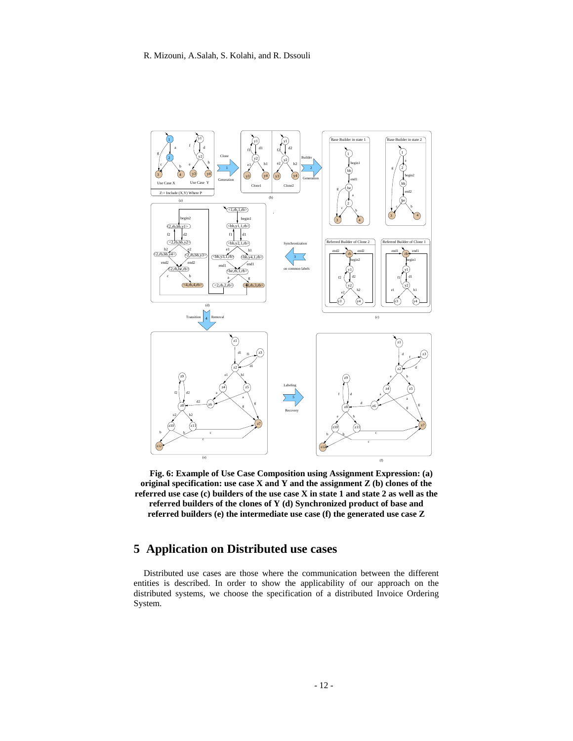

**Fig. 6: Example of Use Case Composition using Assignment Expression: (a) original specification: use case X and Y and the assignment Z (b) clones of the referred use case (c) builders of the use case X in state 1 and state 2 as well as the referred builders of the clones of Y (d) Synchronized product of base and referred builders (e) the intermediate use case (f) the generated use case Z** 

# **5 Application on Distributed use cases**

Distributed use cases are those where the communication between the different entities is described. In order to show the applicability of our approach on the distributed systems, we choose the specification of a distributed Invoice Ordering System.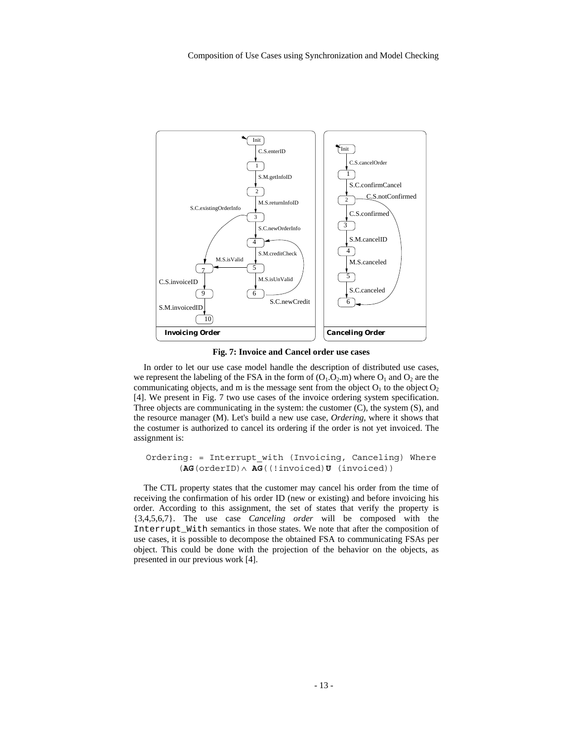

**Fig. 7: Invoice and Cancel order use cases** 

In order to let our use case model handle the description of distributed use cases, we represent the labeling of the FSA in the form of  $(O_1.O_2.m)$  where  $O_1$  and  $O_2$  are the communicating objects, and m is the message sent from the object  $O_1$  to the object  $O_2$ [4]. We present in Fig. 7 two use cases of the invoice ordering system specification. Three objects are communicating in the system: the customer (C), the system (S), and the resource manager (M). Let's build a new use case, *Ordering*, where it shows that the costumer is authorized to cancel its ordering if the order is not yet invoiced. The assignment is:

Ordering: = Interrupt\_with (Invoicing, Canceling) Where (**AG**(orderID)∧ **AG**((!invoiced)**U** (invoiced))

The CTL property states that the customer may cancel his order from the time of receiving the confirmation of his order ID (new or existing) and before invoicing his order. According to this assignment, the set of states that verify the property is {3,4,5,6,7}. The use case *Canceling order* will be composed with the Interrupt\_With semantics in those states. We note that after the composition of use cases, it is possible to decompose the obtained FSA to communicating FSAs per object. This could be done with the projection of the behavior on the objects, as presented in our previous work [4].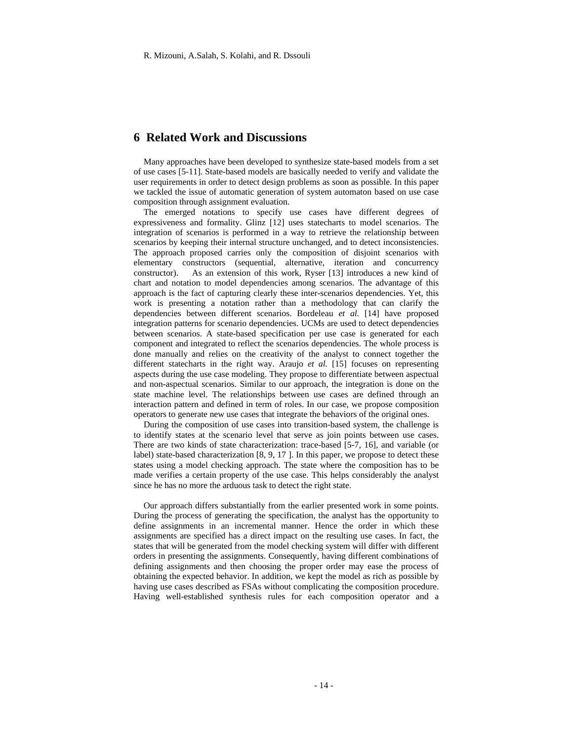## **6 Related Work and Discussions**

Many approaches have been developed to synthesize state-based models from a set of use cases [5-11]. State-based models are basically needed to verify and validate the user requirements in order to detect design problems as soon as possible. In this paper we tackled the issue of automatic generation of system automaton based on use case composition through assignment evaluation.

The emerged notations to specify use cases have different degrees of expressiveness and formality. Glinz [12] uses statecharts to model scenarios. The integration of scenarios is performed in a way to retrieve the relationship between scenarios by keeping their internal structure unchanged, and to detect inconsistencies. The approach proposed carries only the composition of disjoint scenarios with elementary constructors (sequential, alternative, iteration and concurrency constructor). As an extension of this work, Ryser [13] introduces a new kind of chart and notation to model dependencies among scenarios. The advantage of this approach is the fact of capturing clearly these inter-scenarios dependencies. Yet, this work is presenting a notation rather than a methodology that can clarify the dependencies between different scenarios. Bordeleau *et al.* [14] have proposed integration patterns for scenario dependencies. UCMs are used to detect dependencies between scenarios. A state-based specification per use case is generated for each component and integrated to reflect the scenarios dependencies. The whole process is done manually and relies on the creativity of the analyst to connect together the different statecharts in the right way. Araujo *et al.* [15] focuses on representing aspects during the use case modeling. They propose to differentiate between aspectual and non-aspectual scenarios. Similar to our approach, the integration is done on the state machine level. The relationships between use cases are defined through an interaction pattern and defined in term of roles. In our case, we propose composition operators to generate new use cases that integrate the behaviors of the original ones.

During the composition of use cases into transition-based system, the challenge is to identify states at the scenario level that serve as join points between use cases. There are two kinds of state characterization: trace-based [5-7, 16], and variable (or label) state-based characterization [8, 9, 17 ]. In this paper, we propose to detect these states using a model checking approach. The state where the composition has to be made verifies a certain property of the use case. This helps considerably the analyst since he has no more the arduous task to detect the right state.

Our approach differs substantially from the earlier presented work in some points. During the process of generating the specification, the analyst has the opportunity to define assignments in an incremental manner. Hence the order in which these assignments are specified has a direct impact on the resulting use cases. In fact, the states that will be generated from the model checking system will differ with different orders in presenting the assignments. Consequently, having different combinations of defining assignments and then choosing the proper order may ease the process of obtaining the expected behavior. In addition, we kept the model as rich as possible by having use cases described as FSAs without complicating the composition procedure. Having well-established synthesis rules for each composition operator and a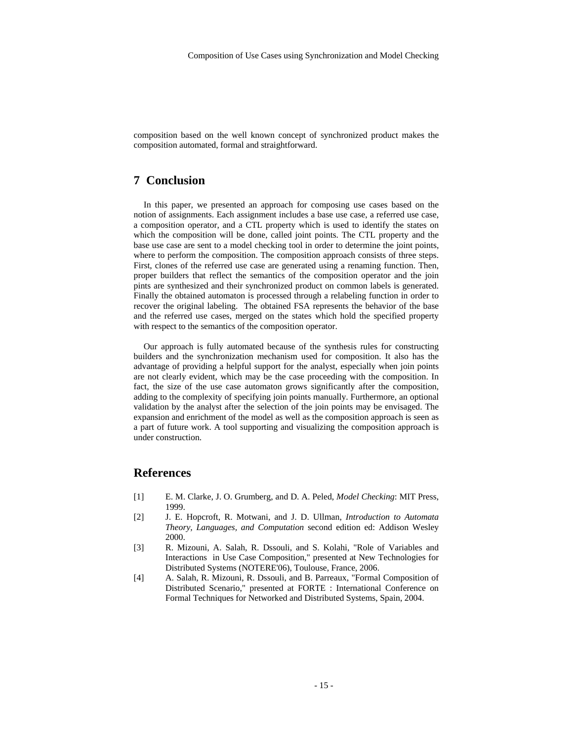composition based on the well known concept of synchronized product makes the composition automated, formal and straightforward.

## **7 Conclusion**

In this paper, we presented an approach for composing use cases based on the notion of assignments. Each assignment includes a base use case, a referred use case, a composition operator, and a CTL property which is used to identify the states on which the composition will be done, called joint points. The CTL property and the base use case are sent to a model checking tool in order to determine the joint points, where to perform the composition. The composition approach consists of three steps. First, clones of the referred use case are generated using a renaming function. Then, proper builders that reflect the semantics of the composition operator and the join pints are synthesized and their synchronized product on common labels is generated. Finally the obtained automaton is processed through a relabeling function in order to recover the original labeling. The obtained FSA represents the behavior of the base and the referred use cases, merged on the states which hold the specified property with respect to the semantics of the composition operator.

Our approach is fully automated because of the synthesis rules for constructing builders and the synchronization mechanism used for composition. It also has the advantage of providing a helpful support for the analyst, especially when join points are not clearly evident, which may be the case proceeding with the composition. In fact, the size of the use case automaton grows significantly after the composition, adding to the complexity of specifying join points manually. Furthermore, an optional validation by the analyst after the selection of the join points may be envisaged. The expansion and enrichment of the model as well as the composition approach is seen as a part of future work. A tool supporting and visualizing the composition approach is under construction.

## **References**

- [1] E. M. Clarke, J. O. Grumberg, and D. A. Peled, *Model Checking*: MIT Press, 1999.
- [2] J. E. Hopcroft, R. Motwani, and J. D. Ullman, *Introduction to Automata Theory, Languages, and Computation* second edition ed: Addison Wesley 2000.
- [3] R. Mizouni, A. Salah, R. Dssouli, and S. Kolahi, "Role of Variables and Interactions in Use Case Composition," presented at New Technologies for Distributed Systems (NOTERE'06), Toulouse, France, 2006.
- [4] A. Salah, R. Mizouni, R. Dssouli, and B. Parreaux, "Formal Composition of Distributed Scenario," presented at FORTE : International Conference on Formal Techniques for Networked and Distributed Systems, Spain, 2004.